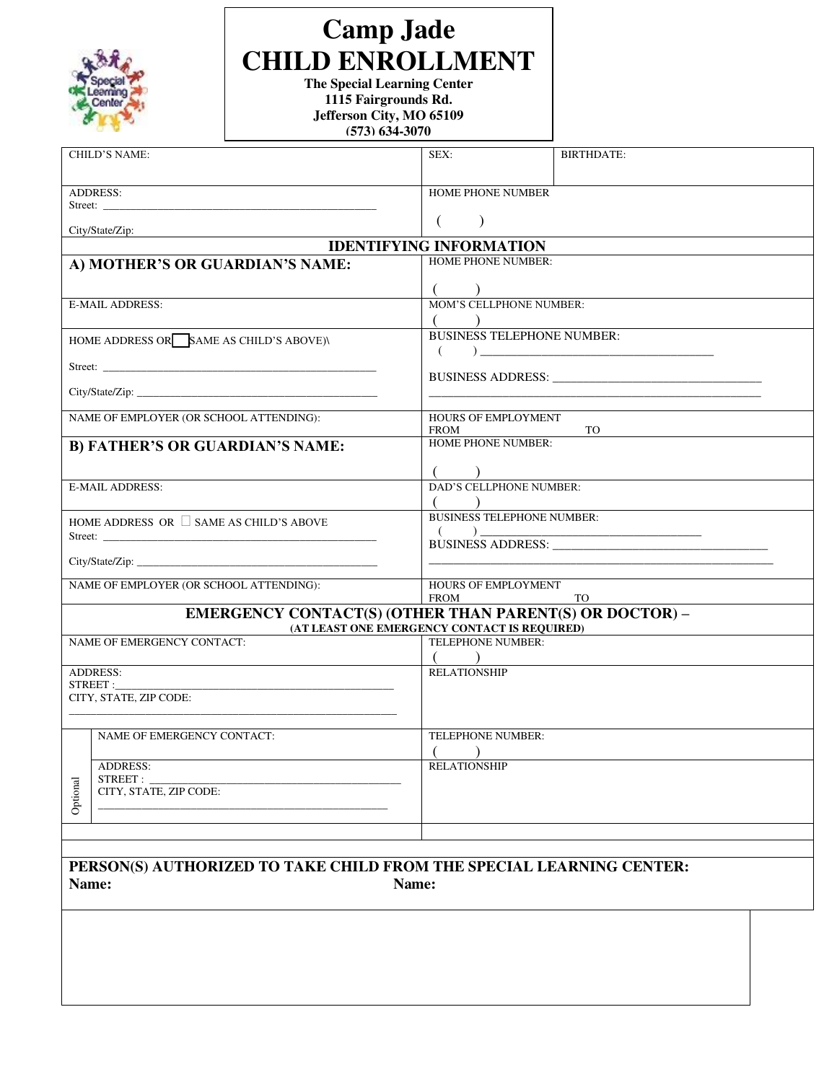| Special<br>earning<br>Center |
|------------------------------|
|------------------------------|

# **Camp Jade CHILD ENROLLMENT**

**The Special Learning Center 1115 Fairgrounds Rd. Jefferson City, MO 65109 (573) 634-3070**

|                                                                                                                                                                                                                                      | CHILD'S NAME:                                                        | SEX:                                                                                                                                                                                                                           | <b>BIRTHDATE:</b> |  |
|--------------------------------------------------------------------------------------------------------------------------------------------------------------------------------------------------------------------------------------|----------------------------------------------------------------------|--------------------------------------------------------------------------------------------------------------------------------------------------------------------------------------------------------------------------------|-------------------|--|
| <b>ADDRESS:</b>                                                                                                                                                                                                                      |                                                                      | HOME PHONE NUMBER                                                                                                                                                                                                              |                   |  |
| Street: <u>the contract of the contract of the contract of the contract of the contract of the contract of the contract of the contract of the contract of the contract of the contract of the contract of the contract of the c</u> |                                                                      |                                                                                                                                                                                                                                |                   |  |
| City/State/Zip:                                                                                                                                                                                                                      |                                                                      | $\left($<br>$\lambda$                                                                                                                                                                                                          |                   |  |
|                                                                                                                                                                                                                                      |                                                                      | <b>IDENTIFYING INFORMATION</b>                                                                                                                                                                                                 |                   |  |
| A) MOTHER'S OR GUARDIAN'S NAME:                                                                                                                                                                                                      |                                                                      | <b>HOME PHONE NUMBER:</b>                                                                                                                                                                                                      |                   |  |
|                                                                                                                                                                                                                                      |                                                                      |                                                                                                                                                                                                                                |                   |  |
| <b>E-MAIL ADDRESS:</b>                                                                                                                                                                                                               |                                                                      | MOM'S CELLPHONE NUMBER:                                                                                                                                                                                                        |                   |  |
|                                                                                                                                                                                                                                      |                                                                      |                                                                                                                                                                                                                                |                   |  |
| HOME ADDRESS OR SAME AS CHILD'S ABOVE)\                                                                                                                                                                                              |                                                                      | <b>BUSINESS TELEPHONE NUMBER:</b>                                                                                                                                                                                              |                   |  |
|                                                                                                                                                                                                                                      |                                                                      | (                                                                                                                                                                                                                              |                   |  |
|                                                                                                                                                                                                                                      |                                                                      |                                                                                                                                                                                                                                |                   |  |
|                                                                                                                                                                                                                                      |                                                                      |                                                                                                                                                                                                                                |                   |  |
|                                                                                                                                                                                                                                      |                                                                      |                                                                                                                                                                                                                                |                   |  |
| NAME OF EMPLOYER (OR SCHOOL ATTENDING):                                                                                                                                                                                              |                                                                      | HOURS OF EMPLOYMENT<br><b>FROM</b><br>TO                                                                                                                                                                                       |                   |  |
| <b>B) FATHER'S OR GUARDIAN'S NAME:</b>                                                                                                                                                                                               |                                                                      | HOME PHONE NUMBER:                                                                                                                                                                                                             |                   |  |
|                                                                                                                                                                                                                                      |                                                                      |                                                                                                                                                                                                                                |                   |  |
|                                                                                                                                                                                                                                      |                                                                      |                                                                                                                                                                                                                                |                   |  |
| <b>E-MAIL ADDRESS:</b>                                                                                                                                                                                                               |                                                                      | DAD'S CELLPHONE NUMBER:                                                                                                                                                                                                        |                   |  |
|                                                                                                                                                                                                                                      |                                                                      | <b>BUSINESS TELEPHONE NUMBER:</b>                                                                                                                                                                                              |                   |  |
| HOME ADDRESS OR $\Box$ SAME AS CHILD'S ABOVE                                                                                                                                                                                         |                                                                      | $\sqrt{2}$<br>)                                                                                                                                                                                                                |                   |  |
|                                                                                                                                                                                                                                      |                                                                      | BUSINESS ADDRESS: University of the Second Second Second Second Second Second Second Second Second Second Second Second Second Second Second Second Second Second Second Second Second Second Second Second Second Second Seco |                   |  |
|                                                                                                                                                                                                                                      | City/State/Zip:                                                      |                                                                                                                                                                                                                                |                   |  |
| NAME OF EMPLOYER (OR SCHOOL ATTENDING):                                                                                                                                                                                              |                                                                      | HOURS OF EMPLOYMENT                                                                                                                                                                                                            |                   |  |
|                                                                                                                                                                                                                                      |                                                                      | <b>FROM</b><br><b>TO</b>                                                                                                                                                                                                       |                   |  |
|                                                                                                                                                                                                                                      | <b>EMERGENCY CONTACT(S) (OTHER THAN PARENT(S) OR DOCTOR) –</b>       |                                                                                                                                                                                                                                |                   |  |
| NAME OF EMERGENCY CONTACT:                                                                                                                                                                                                           |                                                                      | (AT LEAST ONE EMERGENCY CONTACT IS REQUIRED)<br>TELEPHONE NUMBER:                                                                                                                                                              |                   |  |
|                                                                                                                                                                                                                                      |                                                                      |                                                                                                                                                                                                                                |                   |  |
| <b>ADDRESS:</b>                                                                                                                                                                                                                      |                                                                      | <b>RELATIONSHIP</b>                                                                                                                                                                                                            |                   |  |
| STREET:<br>CITY, STATE, ZIP CODE:                                                                                                                                                                                                    |                                                                      |                                                                                                                                                                                                                                |                   |  |
|                                                                                                                                                                                                                                      |                                                                      |                                                                                                                                                                                                                                |                   |  |
|                                                                                                                                                                                                                                      |                                                                      |                                                                                                                                                                                                                                |                   |  |
|                                                                                                                                                                                                                                      | NAME OF EMERGENCY CONTACT:                                           | TELEPHONE NUMBER:                                                                                                                                                                                                              |                   |  |
|                                                                                                                                                                                                                                      | <b>ADDRESS:</b>                                                      | <b>RELATIONSHIP</b>                                                                                                                                                                                                            |                   |  |
|                                                                                                                                                                                                                                      | STREET:                                                              |                                                                                                                                                                                                                                |                   |  |
| Optional                                                                                                                                                                                                                             | CITY, STATE, ZIP CODE:                                               |                                                                                                                                                                                                                                |                   |  |
|                                                                                                                                                                                                                                      |                                                                      |                                                                                                                                                                                                                                |                   |  |
|                                                                                                                                                                                                                                      |                                                                      |                                                                                                                                                                                                                                |                   |  |
|                                                                                                                                                                                                                                      |                                                                      |                                                                                                                                                                                                                                |                   |  |
|                                                                                                                                                                                                                                      | PERSON(S) AUTHORIZED TO TAKE CHILD FROM THE SPECIAL LEARNING CENTER: |                                                                                                                                                                                                                                |                   |  |

Name: Name: